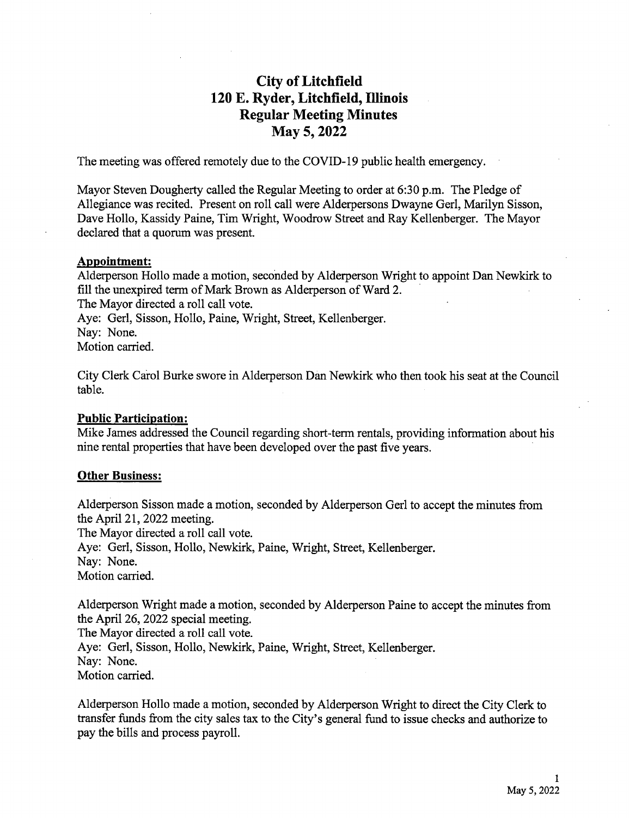# City of Litchfield 120 E. Ryder, Litchfield, Illinois Regular Meeting Minutes May 5, 2022

The meeting was offered remotely due to the COVID- 19 public health emergency.

Mayor Steven Dougherty called the Regular Meeting to order at 6:30 p.m. The Pledge of Allegiance was recited. Present on roll call were Alderpersons Dwayne Gerl, Marilyn Sisson, Dave Hollo, Kassidy Paine, Tim Wright, Woodrow Street and Ray Kellenberger. The Mayor declared that a quorum was present.

#### Appointment:

Alderperson Hollo made a motion, seconded by Alderperson Wright to appoint Dan Newkirk to fill the unexpired term of Mark Brown as Alderperson of Ward 2. The Mayor directed a roll call vote. Aye: Gerl, Sisson, Hollo, Paine, Wright, Street, Kellenberger. Nay: None. Motion carried.

City Clerk Carol Burke swore in Alderperson Dan Newkirk who then took his seat at the Council table.

## Public Participation:

Mike James addressed the Council regarding short-term rentals, providing information about his nine rental properties that have been developed over the past five years.

## Other Business:

Alderperson Sisson made a motion, seconded by Alderperson Gerl to accept the minutes from the April 21, 2022 meeting. The Mayor directed a roll call vote. Aye: Gerl, Sisson, Hollo, Newkirk, Paine, Wright, Street, Kellenberger. Nay: None. Motion carried.

Alderperson Wright made a motion, seconded by Alderperson Paine to accept the minutes from the April 26, 2022 special meeting. The Mayor directed a roll call vote. Aye: Gerl, Sisson, Hollo, Newkirk, Paine, Wright, Street, Kellenberger. Nay: None. Motion carried.

Alderperson Hollo made a motion, seconded by Alderperson Wright to direct the City Clerk to transfer funds from the city sales tax to the City's general fund to issue checks and authorize to pay the bills and process payroll.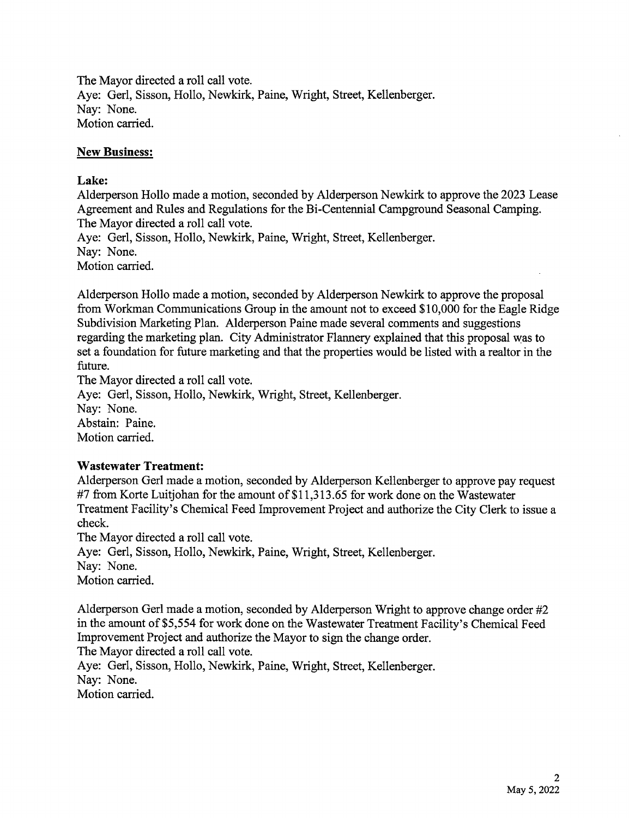The Mayor directed a roll call vote. Aye: Gerl, Sisson, Hollo, Newkirk, Paine, Wright, Street, Kellenberger. Nay: None. Motion carried.

## New Business:

## Lake:

Alderperson Hollo made a motion, seconded by Alderperson Newkirk to approve the 2023 Lease Agreement and Rules and Regulations for the Bi-Centennial Campground Seasonal Camping. The Mayor directed a roll call vote.

Aye: Gerl, Sisson, Hollo, Newkirk, Paine, Wright, Street, Kellenberger. Nay: None. Motion carried.

Alderperson Hollo made a motion, seconded by Alderperson Newkirk to approve the proposal from Workman Communications Group in the amount not to exceed \$10,000 for the Eagle Ridge Subdivision Marketing Plan. Alderperson Paine made several comments and suggestions regarding the marketing plan. City Administrator Flannery explained that this proposal was to set a foundation for future marketing and that the properties would be listed with a realtor in the future.

The Mayor directed a roll call vote.

Aye: Gerl, Sisson, Hollo, Newkirk, Wright, Street, Kellenberger. Nay: None. Abstain: Paine. Motion carried.

# Wastewater Treatment:

Alderperson Gerl made a motion, seconded by Alderperson Kellenberger to approve pay request #7 from Korte Luitjohan for the amount of \$11,313.65 for work done on the Wastewater Treatment Facility's Chemical Feed Improvement Project and authorize the City Clerk to issue a check.

The Mayor directed a roll call vote.

Aye: Gerl, Sisson, Hollo, Newkirk, Paine, Wright, Street, Kellenberger.

Nay: None.

Motion carried.

Alderperson Gerl made a motion, seconded by Alderperson Wright to approve change order #2 in the amount of \$5,554 for work done on the Wastewater Treatment Facility's Chemical Feed Improvement Project and authorize the Mayor to sign the change order.

The Mayor directed a roll call vote.

Aye: Gerl, Sisson, Hollo, Newkirk, Paine, Wright, Street, Kellenberger. Nay: None. Motion carried.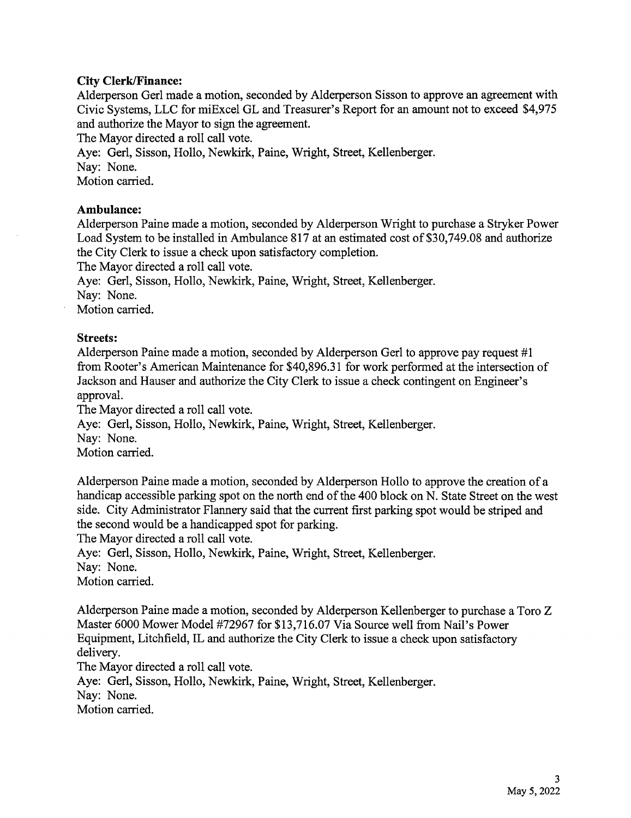## City Clerk/Finance:

Alderperson Gerl made a motion, seconded by Alderperson Sisson to approve an agreement with Civic Systems, LLC for miExcel GL and Treasurer's Report for an amount not to exceed \$4,975 and authorize the Mayor to sign the agreement.

The Mayor directed a roll call vote.

Aye: Gerl, Sisson, Hollo, Newkirk, Paine, Wright, Street, Kellenberger.

Nay: None.

Motion carried.

## Ambulance:

Alderperson Paine made a motion, seconded by Alderperson Wright to purchase a Stryker Power Load System to be installed in Ambulance 817 at an estimated cost of \$30,749.08 and authorize the City Clerk to issue a check upon satisfactory completion.

The Mayor directed a roll call vote.

Aye: Gerl, Sisson, Hollo, Newkirk, Paine, Wright, Street, Kellenberger.

Nay: None.

Motion carried.

## Streets:

Alderperson Paine made a motion, seconded by Alderperson Gerl to approve pay request #1 from Rooter's American Maintenance for \$40,896.31 for work performed at the intersection of Jackson and Hauser and authorize the City Clerk to issue a check contingent on Engineer's approval.

The Mayor directed a roll call vote.

Aye: Gerl, Sisson, Hollo, Newkirk, Paine, Wright, Street, Kellenberger.

Nay: None.

Motion carried.

Alderperson Paine made <sup>a</sup> motion, seconded by Alderperson Hollo to approve the creation of a handicap accessible parking spot on the north end of the 400 block on N. State Street on the west side. City Administrator Flannery said that the current first parking spot would be striped and the second would be a handicapped spot for parking.

The Mayor directed a roll call vote.

Aye: Gerl, Sisson, Hollo, Newkirk, Paine, Wright, Street, Kellenberger.

Nay: None.

Motion carried.

Alderperson Paine made a motion, seconded by Alderperson Kellenberger to purchase a Toro Z Master 6000 Mower Model #72967 for \$13,716.07 Via Source well from Nail's Power Equipment, Litchfield, IL and authorize the City Clerk to issue <sup>a</sup> check upon satisfactory delivery.

The Mayor directed a roll call vote.

Aye: Gerl, Sisson, Hollo, Newkirk, Paine, Wright, Street, Kellenberger. Nay: None.

Motion carried.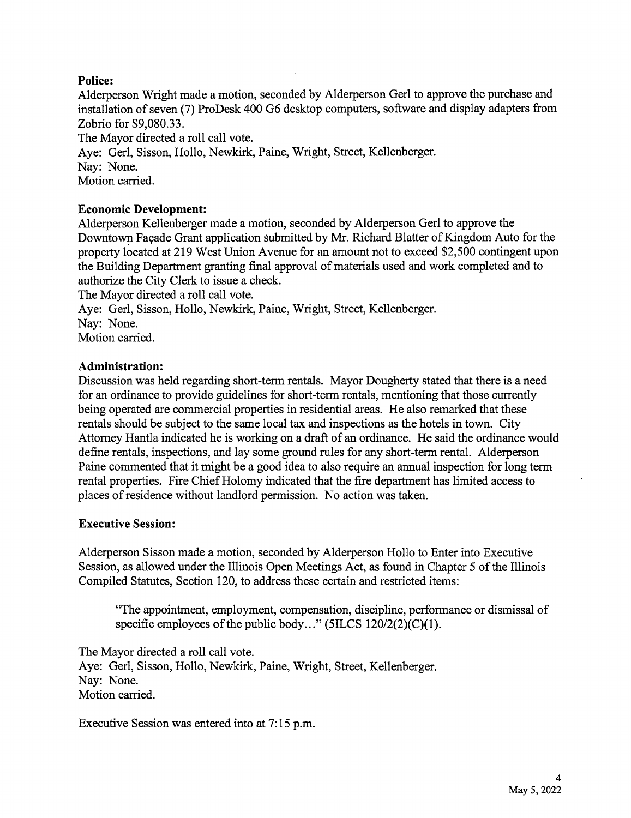# Police:

Alderperson Wright made a motion, seconded by Alderperson Gerl to approve the purchase and installation of seven( 7) ProDesk 400 G6 desktop computers, software and display adapters from Zobrio for \$9,080.33.

The Mayor directed a roll call vote.

Aye: Gerl, Sisson, Hollo, Newkirk, Paine, Wright, Street, Kellenberger. Nay: None. Motion carried.

# Economic Development:

Alderperson Kellenberger made a motion, seconded by Alderperson Gerl to approve the Downtown Facade Grant application submitted by Mr. Richard Blatter of Kingdom Auto for the property located at 219 West Union Avenue for an amount not to exceed \$2, 500 contingent upon the Building Department granting final approval of materials used and work completed and to authorize the City Clerk to issue a check.

The Mayor directed a roll call vote.

Aye: Gerl, Sisson, Hollo, Newkirk, Paine, Wright, Street, Kellenberger.

Nay: None.

Motion carried.

# Administration:

Discussion was held regarding short-term rentals. Mayor Dougherty stated that there is a need for an ordinance to provide guidelines for short-term rentals, mentioning that those currently being operated are commercial properties in residential areas. He also remarked that these rentals should be subject to the same local tax and inspections as the hotels in town. City Attorney Hantla indicated he is working on <sup>a</sup> draft of an ordinance. He said the ordinance would define rentals, inspections, and lay some ground rules for any short-term rental. Alderperson Paine commented that it might be a good idea to also require an annual inspection for long term rental properties. Fire Chief Holomy indicated that the fire department has limited access to places of residence without landlord permission. No action was taken.

# Executive Session:

Alderperson Sisson made a motion, seconded by Alderperson Hollo to Enter into Executive Session, as allowed under the Illinois Open Meetings Act, as found in Chapter <sup>5</sup> of the Illinois Compiled Statutes, Section 120, to address these certain and restricted items:

The appointment, employment, compensation, discipline, performance or dismissal of specific employees of the public body..."  $(5ILCS 120/2(2)(C)(1)$ .

The Mayor directed a roll call vote. Aye: Gerl, Sisson, Hollo, Newkirk, Paine, Wright, Street, Kellenberger. Nay: None. Motion carried.

Executive Session was entered into at 7:15 p.m.